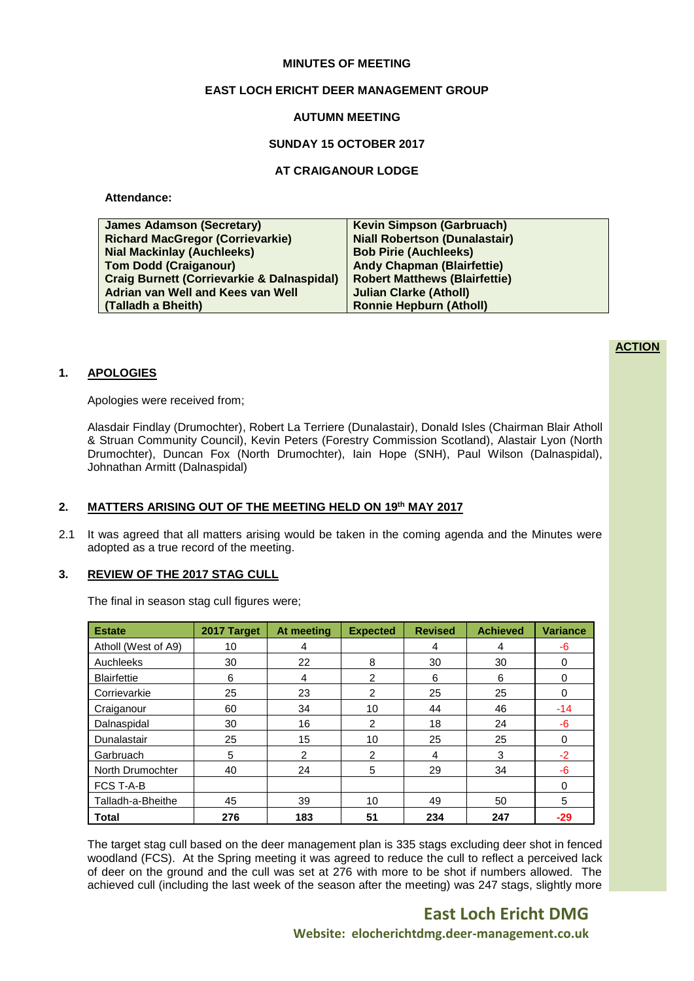# **MINUTES OF MEETING**

# **EAST LOCH ERICHT DEER MANAGEMENT GROUP**

### **AUTUMN MEETING**

## **SUNDAY 15 OCTOBER 2017**

## **AT CRAIGANOUR LODGE**

# **Attendance:**

| <b>James Adamson (Secretary)</b>                      | <b>Kevin Simpson (Garbruach)</b>     |
|-------------------------------------------------------|--------------------------------------|
| <b>Richard MacGregor (Corrievarkie)</b>               | <b>Niall Robertson (Dunalastair)</b> |
| <b>Nial Mackinlay (Auchleeks)</b>                     | <b>Bob Pirie (Auchleeks)</b>         |
| <b>Tom Dodd (Craiganour)</b>                          | <b>Andy Chapman (Blairfettie)</b>    |
| <b>Craig Burnett (Corrievarkie &amp; Dalnaspidal)</b> | <b>Robert Matthews (Blairfettie)</b> |
| Adrian van Well and Kees van Well                     | <b>Julian Clarke (Atholl)</b>        |
| (Talladh a Bheith)                                    | <b>Ronnie Hepburn (Atholl)</b>       |
|                                                       |                                      |

# **ACTION**

# **1. APOLOGIES**

Apologies were received from;

Alasdair Findlay (Drumochter), Robert La Terriere (Dunalastair), Donald Isles (Chairman Blair Atholl & Struan Community Council), Kevin Peters (Forestry Commission Scotland), Alastair Lyon (North Drumochter), Duncan Fox (North Drumochter), Iain Hope (SNH), Paul Wilson (Dalnaspidal), Johnathan Armitt (Dalnaspidal)

# **2. MATTERS ARISING OUT OF THE MEETING HELD ON 19 th MAY 2017**

2.1 It was agreed that all matters arising would be taken in the coming agenda and the Minutes were adopted as a true record of the meeting.

# **3. REVIEW OF THE 2017 STAG CULL**

The final in season stag cull figures were;

| <b>Estate</b>       | 2017 Target | At meeting     | <b>Expected</b> | <b>Revised</b> | <b>Achieved</b> | <b>Variance</b> |
|---------------------|-------------|----------------|-----------------|----------------|-----------------|-----------------|
| Atholl (West of A9) | 10          | 4              |                 | 4              | 4               | -6              |
| Auchleeks           | 30          | 22             | 8               | 30             | 30              | 0               |
| <b>Blairfettie</b>  | 6           | 4              | 2               | 6              | 6               | 0               |
| Corrievarkie        | 25          | 23             | $\overline{2}$  | 25             | 25              | $\Omega$        |
| Craiganour          | 60          | 34             | 10              | 44             | 46              | $-14$           |
| Dalnaspidal         | 30          | 16             | $\overline{2}$  | 18             | 24              | $-6$            |
| Dunalastair         | 25          | 15             | 10              | 25             | 25              | 0               |
| Garbruach           | 5           | $\overline{2}$ | $\overline{2}$  | 4              | 3               | $-2$            |
| North Drumochter    | 40          | 24             | 5               | 29             | 34              | -6              |
| <b>FCS T-A-B</b>    |             |                |                 |                |                 | $\Omega$        |
| Talladh-a-Bheithe   | 45          | 39             | 10              | 49             | 50              | 5               |
| <b>Total</b>        | 276         | 183            | 51              | 234            | 247             | $-29$           |

The target stag cull based on the deer management plan is 335 stags excluding deer shot in fenced woodland (FCS). At the Spring meeting it was agreed to reduce the cull to reflect a perceived lack of deer on the ground and the cull was set at 276 with more to be shot if numbers allowed. The achieved cull (including the last week of the season after the meeting) was 247 stags, slightly more

> **East Loch Ericht DMG Website: elocherichtdmg.deer-management.co.uk**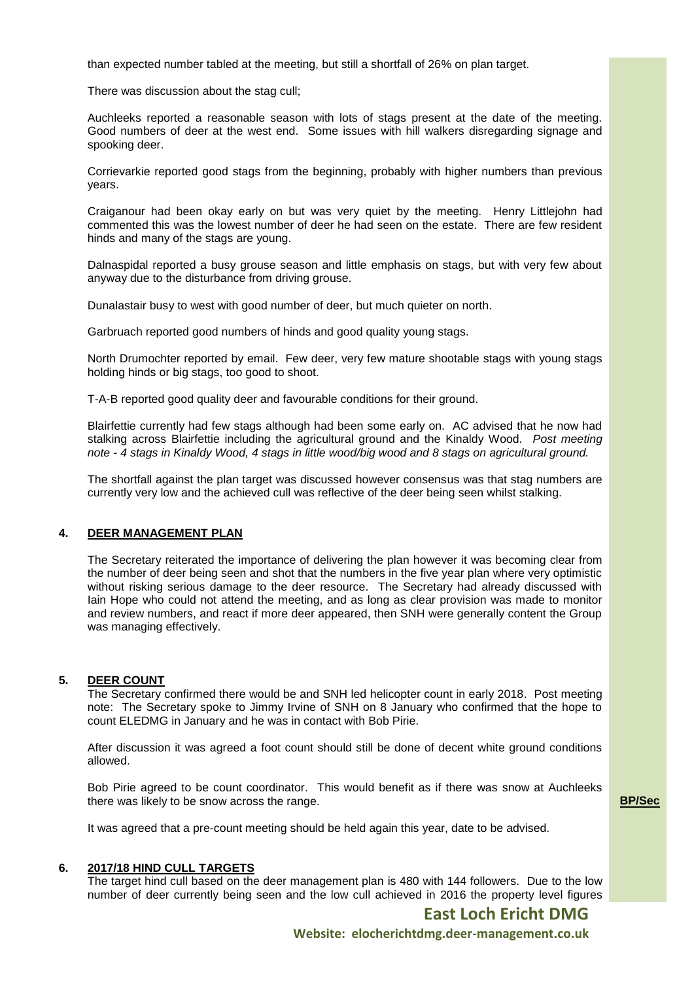than expected number tabled at the meeting, but still a shortfall of 26% on plan target.

There was discussion about the stag cull;

Auchleeks reported a reasonable season with lots of stags present at the date of the meeting. Good numbers of deer at the west end. Some issues with hill walkers disregarding signage and spooking deer.

Corrievarkie reported good stags from the beginning, probably with higher numbers than previous years.

Craiganour had been okay early on but was very quiet by the meeting. Henry Littlejohn had commented this was the lowest number of deer he had seen on the estate. There are few resident hinds and many of the stags are young.

Dalnaspidal reported a busy grouse season and little emphasis on stags, but with very few about anyway due to the disturbance from driving grouse.

Dunalastair busy to west with good number of deer, but much quieter on north.

Garbruach reported good numbers of hinds and good quality young stags.

North Drumochter reported by email. Few deer, very few mature shootable stags with young stags holding hinds or big stags, too good to shoot.

T-A-B reported good quality deer and favourable conditions for their ground.

Blairfettie currently had few stags although had been some early on. AC advised that he now had stalking across Blairfettie including the agricultural ground and the Kinaldy Wood. *Post meeting note - 4 stags in Kinaldy Wood, 4 stags in little wood/big wood and 8 stags on agricultural ground.*

The shortfall against the plan target was discussed however consensus was that stag numbers are currently very low and the achieved cull was reflective of the deer being seen whilst stalking.

#### **4. DEER MANAGEMENT PLAN**

The Secretary reiterated the importance of delivering the plan however it was becoming clear from the number of deer being seen and shot that the numbers in the five year plan where very optimistic without risking serious damage to the deer resource. The Secretary had already discussed with Iain Hope who could not attend the meeting, and as long as clear provision was made to monitor and review numbers, and react if more deer appeared, then SNH were generally content the Group was managing effectively.

#### **5. DEER COUNT**

The Secretary confirmed there would be and SNH led helicopter count in early 2018. Post meeting note: The Secretary spoke to Jimmy Irvine of SNH on 8 January who confirmed that the hope to count ELEDMG in January and he was in contact with Bob Pirie.

After discussion it was agreed a foot count should still be done of decent white ground conditions allowed.

Bob Pirie agreed to be count coordinator. This would benefit as if there was snow at Auchleeks there was likely to be snow across the range.

**BP/Sec**

It was agreed that a pre-count meeting should be held again this year, date to be advised.

# **6. 2017/18 HIND CULL TARGETS**

The target hind cull based on the deer management plan is 480 with 144 followers. Due to the low number of deer currently being seen and the low cull achieved in 2016 the property level figures

**East Loch Ericht DMG**

**Website: elocherichtdmg.deer-management.co.uk**